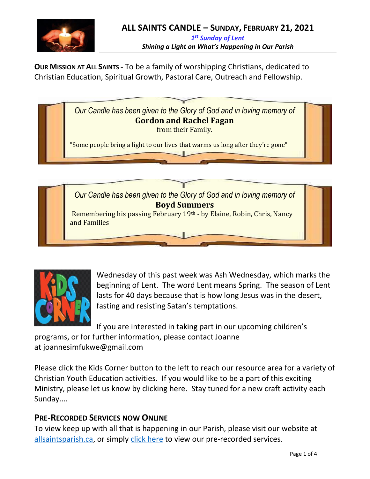

**OUR MISSION AT ALL SAINTS -** To be a family of worshipping Christians, dedicated to Christian Education, Spiritual Growth, Pastoral Care, Outreach and Fellowship.







Wednesday of this past week was Ash Wednesday, which marks the beginning of Lent. The word Lent means Spring. The season of Lent lasts for 40 days because that is how long Jesus was in the desert, fasting and resisting Satan's temptations.

If you are interested in taking part in our upcoming children's programs, or for further information, please contact Joanne at [joannesimfukwe@gmail.com](mailto:joannesimfukwe@gmail.com)

Please [click](http://allsaintsparish.ca/kids-corner) the Kids Corner button to the left to reach our resource area for a variety of Christian Youth Education activities. If you would like to be a part of this exciting Ministry, please let us know by clicking [here.](http://allsaintsparish.ca/index.html#comments) Stay tuned for a new craft activity each Sunday....

# **PRE-RECORDED SERVICES NOW ONLINE**

To view keep up with all that is happening in our Parish, please visit our website at [allsaintsparish.ca,](allsaintsparish.ca) or simply [click here](http://allsaintsparish.ca/recorded-church-services) to view our pre-recorded services.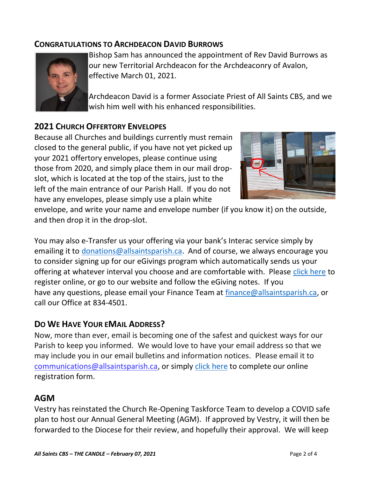## **CONGRATULATIONS TO ARCHDEACON DAVID BURROWS**



Bishop Sam has announced the appointment of Rev David Burrows as our new Territorial Archdeacon for the Archdeaconry of Avalon, effective March 01, 2021.

Archdeacon David is a former Associate Priest of All Saints CBS, and we wish him well with his enhanced responsibilities.

# **2021 CHURCH OFFERTORY ENVELOPES**

Because all Churches and buildings currently must remain closed to the general public, if you have not yet picked up your 2021 offertory envelopes, please continue using those from 2020, and simply place them in our mail dropslot, which is located at the top of the stairs, just to the left of the main entrance of our Parish Hall. If you do not have any envelopes, please simply use a plain white



envelope, and write your name and envelope number (if you know it) on the outside, and then drop it in the drop-slot.

You may also e-Transfer us your offering via your bank's Interac service simply by emailing it to [donations@allsaintsparish.ca.](mailto:donations@allsaintsparish.ca) And of course, we always encourage you to consider signing up for our eGivings program which automatically sends us your offering at whatever interval you choose and are comfortable with. Please [click here](http://allsaintsparish.ca/egiving-online-information-form) to register online, or go to our website and follow the eGiving notes. If you have [any](https://wfsites-to.websitecreatorprotool.com/870a5dd5.com/Admin/%7BSK_NODEID__22939341__SK%7D) questions, please email your Finance Team at [finance@allsaintsparish.ca,](mailto:finance@allsaintsparish.ca) or call our Office at 834-4501.

#### **DO WE HAVE YOUR EMAIL ADDRESS?**

Now, more than ever, email is becoming one of the safest and quickest ways for our Parish to keep you informed. We would love to have your email address so that we may include you in our email bulletins and information notices. Please email it to [communications@allsaintsparish.ca,](mailto:communications@allsaintsparish.ca?subject=eMail%20Address%20Update) or simply [click here](http://allsaintsparish.ca/email_updates) to complete our online registration form.

## **AGM**

Vestry has reinstated the Church Re-Opening Taskforce Team to develop a COVID safe plan to host our Annual General Meeting (AGM). If approved by Vestry, it will then be forwarded to the Diocese for their review, and hopefully their approval. We will keep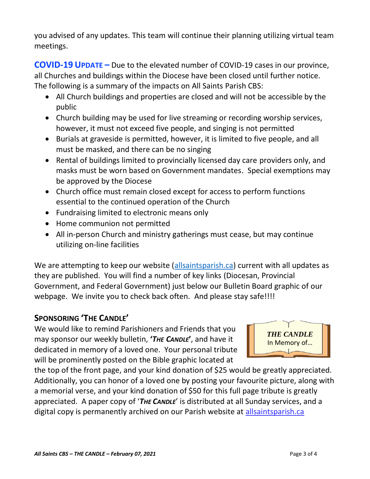you advised of any updates. This team will continue their planning utilizing virtual team meetings.

**COVID-19 UPDATE –** Due to the elevated number of COVID-19 cases in our province, all Churches and buildings within the Diocese have been closed until further notice. The following is a summary of the impacts on All Saints Parish CBS:

- All Church buildings and properties are closed and will not be accessible by the public
- Church building may be used for live streaming or recording worship services, however, it must not exceed five people, and singing is not permitted
- Burials at graveside is permitted, however, it is limited to five people, and all must be masked, and there can be no singing
- Rental of buildings limited to provincially licensed day care providers only, and masks must be worn based on Government mandates. Special exemptions may be approved by the Diocese
- Church office must remain closed except for access to perform functions essential to the continued operation of the Church
- Fundraising limited to electronic means only
- Home communion not permitted
- All in-person Church and ministry gatherings must cease, but may continue utilizing on-line facilities

We are attempting to keep our website [\(allsaintsparish.ca\)](/Users/ralphfagan/Documents/All%20Saints%20Parish/Candle/ASP%202021%20Candle/allsaintsparish.ca) current with all updates as they are published. You will find a number of key links (Diocesan, Provincial Government, and Federal Government) just below our Bulletin Board graphic of our webpage. We invite you to check back often. And please stay safe!!!!

# **SPONSORING 'THE CANDLE'**

We would like to remind Parishioners and Friends that you may sponsor our weekly bulletin, **'***THE CANDLE***'**, and have it dedicated in memory of a loved one. Your personal tribute will be prominently posted on the Bible graphic located at



the top of the front page, and your kind donation of \$25 would be greatly appreciated. Additionally, you can honor of a loved one by posting your favourite picture, along with a memorial verse, and your kind donation of \$50 for this full page tribute is greatly appreciated. A paper copy of '*THE CANDLE*' is distributed at all Sunday services, and a digital copy is permanently archived on our Parish website at [allsaintsparish.ca](http://allsaintsparish.ca/thecandle.html)